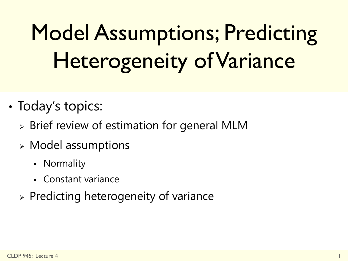# Model Assumptions; Predicting Heterogeneity of Variance

- Today's topics:
	- $\triangleright$  Brief review of estimation for general MLM
	- Model assumptions
		- Normality
		- Constant variance
	- $\triangleright$  Predicting heterogeneity of variance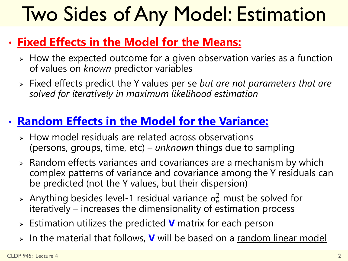### Two Sides of Any Model: Estimation

#### • **Fixed Effects in the Model for the Means:**

- $\triangleright$  How the expected outcome for a given observation varies as a function of values on *known* predictor variables
- Fixed effects predict the Y values per se *but are not parameters that are solved for iteratively in maximum likelihood estimation*

#### • **Random Effects in the Model for the Variance:**

- $\triangleright$  How model residuals are related across observations (persons, groups, time, etc) – *unknown* things due to sampling
- $\triangleright$  Random effects variances and covariances are a mechanism by which complex patterns of variance and covariance among the Y residuals can be predicted (not the Y values, but their dispersion)
- > Anything besides level-1 residual variance  $\sigma_e^2$  must be solved for iteratively – increases the dimensionality of estimation process
- Estimation utilizes the predicted **V** matrix for each person
- > In the material that follows, **V** will be based on a random linear model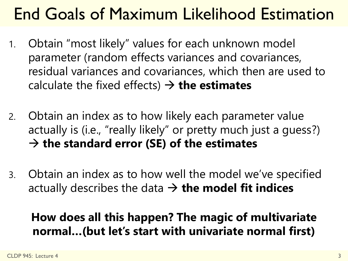### End Goals of Maximum Likelihood Estimation

- 1. Obtain "most likely" values for each unknown model parameter (random effects variances and covariances, residual variances and covariances, which then are used to calculate the fixed effects)  $\rightarrow$  **the estimates**
- 2. Obtain an index as to how likely each parameter value actually is (i.e., "really likely" or pretty much just a guess?) **the standard error (SE) of the estimates**
- 3. Obtain an index as to how well the model we've specified actually describes the data  $\rightarrow$  the model fit indices

#### **How does all this happen? The magic of multivariate normal…(but let's start with univariate normal first)**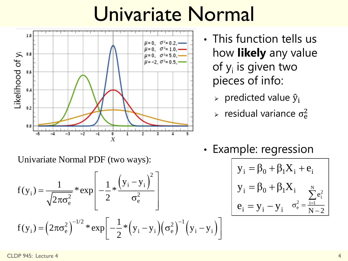### Univariate Normal



- This function tells us how **likely** any value of y<sub>i</sub> is given two pieces of info:
	- > predicted value  $\hat{y}_i$
	- $\triangleright$  residual variance  $\sigma_{\rm e}^2$
- Example: regression

$$
\left[ \begin{array}{ll} y_i = \beta_0 + \beta_1 X_i + e_i \\[0.2cm] y_i = \beta_0 + \beta_1 X_i \\[0.2cm] e_i = y_i - y_i \end{array} \right. \sigma_{\rm e}^2 = \frac{\sum\limits_{i=1}^N e_i^2}{N-2}
$$

Univariate Normal PDF (two ways):

\n
$$
f(y_i) = \frac{1}{\sqrt{2\pi\sigma_e^2}} \cdot \exp\left[-\frac{1}{2} \cdot \frac{\left(y_i - y_i\right)^2}{\sigma_e^2}\right]
$$
\n
$$
f(y_i) = \left(2\pi\sigma_e^2\right)^{-1/2} \cdot \exp\left[-\frac{1}{2} \cdot \left(y_i - y_i\right)\left(\sigma_e^2\right)^{-1}\left(y_i - y_i\right)\right]
$$
\nEquation (1.11)

\n
$$
f(y_i) = \left(2\pi\sigma_e^2\right)^{-1/2} \cdot \exp\left[-\frac{1}{2} \cdot \left(y_i - y_i\right)\left(\sigma_e^2\right)^{-1}\left(y_i - y_i\right)\right]
$$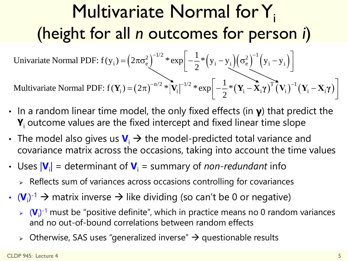### Multivariate Normal for Y<sub>i</sub> (height for all *n* outcomes for person *i*)<br>
iate Normal PDF:  $f(v_0) = (2\pi\sigma^2)^{-1/2} * exp[-\frac{1}{2} * (v_0 - v_0)(\sigma^2)^{-1}(v_0 - v_0)]$ Ormes for person *i*)<br> $\left[-\frac{1}{2}*(y_i-y_i)(\sigma_e^2)^{-1}(y_i-y_i)\right]$ all *n* outcomes for person *i*)<br>= $(2\pi\sigma_e^2)^{-1/2}$ \* $\exp\left[-\frac{1}{2}*(y_i - y_i)(\sigma_e^2)^{-1}(y_i - y_i)\right]$

**n outcomes for perso:**<br> $\left(2\pi\sigma_{\rm e}^2\right)^{-1/2} \left.\ast\exp\!\left[-\frac{1}{2}\ast\left(\mathrm{y_i-y_i}\right)\!\left(\sigma_{\rm e}^2\right)^{-1}\!\left(\mathrm{y_i-y_i}\right)\right.\right.$  $\sum_{i}$  =  $\left(2\pi\sigma_e^2\right)^{-1/2}$  \*  $\exp\left[-\frac{1}{2}*\left(y_i - y_i\right)\left(\sigma_e^2\right)^{-1}\left(y_i - y_i\right)\right]$  $\sum_{n/2}^{\infty} \exp \left[-\frac{1}{2} * (y_i - y_i)(\sigma_e^2) (y_i - y_i)\right]$ 1 (height for all *n* outcomes for person Univariate Normal PDF:  $f(y_i) = (2\pi\sigma_e^2)^{-1/2} * exp\left[-\frac{1}{2} * (y_i - y_i)(\sigma_e^2)^{-1}(y_i - y_i)\right]$ Univariate Normal PDF:  $f(y_i) = (2\pi\sigma_e^2)^{-1/2} * \exp\left[-\frac{1}{2} * (y_i - y_i)\right]$ <br>Multivariate Normal PDF:  $f(Y_i) = (2\pi)^{-n/2} * |\mathbf{V}_i|^{-1/2} * \exp\left[-\frac{1}{2} * (\mathbf{V}_i - \mathbf{V}_i)\right]$  $V_i - y_i \left( \sigma_e^2 \right)^{-1} \left( y_i - y_i \right)$ <br> $\left[ -\frac{1}{2} * (\mathbf{Y}_i - \mathbf{X}_i \gamma)^T (\mathbf{V}_i)^{-1} (\mathbf{Y}_i - \mathbf{X}_i \gamma) \right]$  $\begin{bmatrix} * \exp \left[-\frac{1}{2} * (y_i - y_i)(\sigma_e^2) (y_i - y_i)\right] \ * \exp \left[-\frac{1}{2} * (Y_i - X_i \gamma)^T (V_i)^{-1} (Y_i - X_i)\right] \end{bmatrix}$  $y = (2πσ<sub>e</sub><sup>2</sup>)<sup>-1/2</sup> * exp<sub>1</sub> =  $\frac{1}{2}$  * (y<sub>i</sub> - y<sub>i</sub>) (σ<sub>e</sub><sup>2</sup>)<sup>-1</sup> (y<sub>i</sub> - y<sub>i</sub>)  
\n**Y**<sub>i</sub> = (2π)<sup>-n/2</sup> * |**V**<sub>i</sub>|<sup>-1/2</sup> * exp<sub>i</sub> =  $\frac{1}{2}$  * (**Y**<sub>i</sub> - **X**<sub>i</sub>γ)<sup>T</sup> (**V**<sub>i</sub>)<sup>-</sup>$ 

 $\left(2\pi\right)^{-n/2}$  \*  $\left|\mathbf{V}_{\mathrm{i}}\right|^{-n/2}$  \*  $\exp\left[-\frac{1}{2}*\left(\mathbf{Y}_{\mathrm{i}}-\mathbf{X}_{\mathrm{i}}\boldsymbol{\gamma}\right)^{1}\left(\mathbf{V}_{\mathrm{i}}\right)^{-1}\left(\mathbf{Y}_{\mathrm{i}}-\mathbf{X}_{\mathrm{i}}\boldsymbol{\gamma}\right)\right]$  $\sum_{i}$  i  $= (2\pi)^{-n/2}$  \*  $|\mathbf{V}_{i}|^{-1/2}$  \*  $\exp\left[-\frac{1}{2}$  \*  $(\mathbf{Y}_{i} - \mathbf{X}_{i}\boldsymbol{\gamma})^{T}(\mathbf{V}_{i})^{-1}(\mathbf{Y}_{i} - \mathbf{X}_{i}\boldsymbol{\gamma})\right]$ 1

- In a random linear time model, the only fixed effects (in **γ**) that predict the **Y**<sub>i</sub> outcome values are the fixed intercept and fixed linear time slope
- The model also gives us  $V_i \rightarrow$  the model-predicted total variance and covariance matrix across the occasions, taking into account the time values
- Uses  $|V_i|$  = determinant of  $V_i$  = summary of *non-redundant* info
	- $\triangleright$  Reflects sum of variances across occasions controlling for covariances
- $(\mathbf{V}_i)^{-1} \to \text{matrix inverse} \to \text{like dividing (so can't be 0 or negative)}$ 
	- $\triangleright$   $(V_i)^{-1}$  must be "positive definite", which in practice means no 0 random variances and no out-of-bound correlations between random effects
	- Otherwise, SAS uses "generalized inverse"  $\rightarrow$  questionable results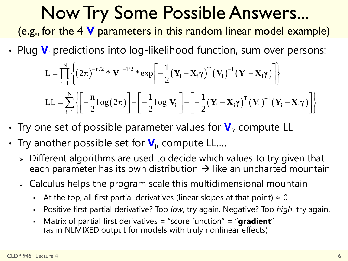### Now Try Some Possible Answers...

(e.g., for the 4 **V** parameters in this random linear model example)

• Plug 
$$
\mathbf{V}_i
$$
 predictions into log-likelihood function, sum over persons:  
\n
$$
L = \prod_{i=1}^N \left\{ (2\pi)^{-n/2} * |\mathbf{V}_i|^{-1/2} * \exp\left[ -\frac{1}{2} (\mathbf{Y}_i - \mathbf{X}_i \gamma)^T (\mathbf{V}_i)^{-1} (\mathbf{Y}_i - \mathbf{X}_i \gamma) \right] \right\}
$$
\n
$$
LL = \sum_{i=1}^N \left\{ \left[ -\frac{n}{2} \log(2\pi) \right] + \left[ -\frac{1}{2} \log |\mathbf{V}_i| \right] + \left[ -\frac{1}{2} (\mathbf{Y}_i - \mathbf{X}_i \gamma)^T (\mathbf{V}_i)^{-1} (\mathbf{Y}_i - \mathbf{X}_i \gamma) \right] \right\}
$$

- Try one set of possible parameter values for  $\mathbf{V}_{i}$ , compute LL
- **•** Try another possible set for  $V_{i}$ , compute LL....
	- Different algorithms are used to decide which values to try given that each parameter has its own distribution  $\rightarrow$  like an uncharted mountain
	- $\triangleright$  Calculus helps the program scale this multidimensional mountain
		- At the top, all first partial derivatives (linear slopes at that point)  $\approx 0$
		- Positive first partial derivative? Too *low*, try again. Negative? Too *high*, try again.
		- Matrix of partial first derivatives = "score function" = "**gradient**" (as in NLMIXED output for models with truly nonlinear effects)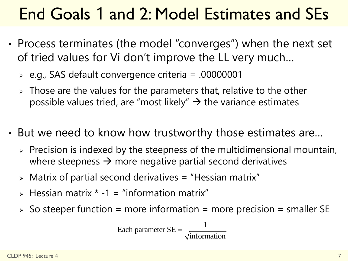### End Goals 1 and 2: Model Estimates and SEs

- Process terminates (the model "converges") when the next set of tried values for Vi don't improve the LL very much…
	- e.g., SAS default convergence criteria = .00000001
	- $\triangleright$  Those are the values for the parameters that, relative to the other possible values tried, are "most likely"  $\rightarrow$  the variance estimates
- But we need to know how trustworthy those estimates are…
	- $\triangleright$  Precision is indexed by the steepness of the multidimensional mountain, where steepness  $\rightarrow$  more negative partial second derivatives
	- $\triangleright$  Matrix of partial second derivatives = "Hessian matrix"
	- $\triangleright$  Hessian matrix  $\cdot$  -1 = "information matrix"
	- $\ge$  So steeper function = more information = more precision = smaller SE

Each parameter 
$$
SE = \frac{1}{\sqrt{\text{information}}}
$$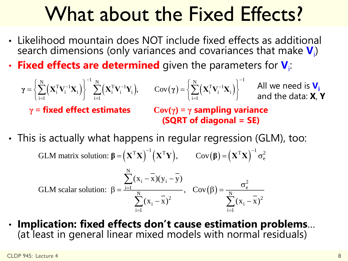### What about the Fixed Effects?

- Likelihood mountain does NOT include fixed effects as additional search dimensions (only variances and covariances that make  $\textbf{V}_{\text{i}}$ )
- **Fixed effects are determined** given the parameters for  $V_i$ :

**1 What about the Fixed Effects?**  
\nLikelihood mountain does NOT include fixed effects as additional  
\nsearch dimensions (only variances and covariances that make 
$$
\mathbf{V}_i
$$
)  
\nFixed effects are determined given the parameters for  $\mathbf{V}_i$ :  
\n
$$
\gamma = \left\{ \sum_{i=1}^{N} (\mathbf{x}_i^T \mathbf{V}_i^{-1} \mathbf{x}_i) \right\}^{-1} \sum_{i=1}^{N} (\mathbf{x}_i^T \mathbf{V}_i^{-1} \mathbf{Y}_i), \qquad \text{Cov}(\gamma) = \left\{ \sum_{i=1}^{N} (\mathbf{x}_i^T \mathbf{V}_i^{-1} \mathbf{x}_i) \right\}^{-1} \text{ All we need is } \mathbf{V}_i
$$
\n
$$
\gamma = \text{fixed effect estimates } \qquad \text{Cov}(\gamma) = \gamma \text{ sampling variance}
$$
\n(SQRT of diagonal = SE)  
\nThis is actually what happens in regular regression (GLM), too:  
\nGLM matrix solution:  $\beta = (\mathbf{X}^T \mathbf{X})^{-1} (\mathbf{X}^T \mathbf{Y}), \qquad \text{Cov}(\beta) = (\mathbf{X}^T \mathbf{X})^{-1} \sigma_c^2$   
\nGLM scalar solution:  $\beta = \frac{\sum_{i=1}^{N} (x_i - \overline{x})(y_i - \overline{y})}{\sum_{i=1}^{N} (x_i - \overline{x})^2}, \qquad \text{Cov}(\beta) = \frac{\sigma_c^2}{\sum_{i=1}^{N} (x_i - \overline{x})^2}$ 

• This is actually what happens in regular regression (GLM), too:<br>GLM matrix solution:  $B = (\mathbf{x}^T \mathbf{x})^{-1} (\mathbf{x}^T \mathbf{v})$   $Cov(B) = (\mathbf{x}^T \mathbf{x})^{-1} \sigma^2$ nappens in regular regression (GLM), to<br>= $(\mathbf{X}^T\mathbf{X})^{-1}(\mathbf{X}^T\mathbf{Y}),$  cov $(\mathbf{\beta}) = (\mathbf{X}^T\mathbf{X})^{-1}\sigma_e^2$ 

**happens in regular regression (GLM**<br> $\beta = (X^T X)^{-1} (X^T Y), \qquad Cov(\beta) = (X^T X)^{-1} \sigma_e^2$ 

is actually what happens in regular regression (GLM),  
GLM matrix solution: 
$$
\beta = (X^TX)^{-1}(X^TY)
$$
,  $Cov(\beta) = (X^TX)^{-1} \sigma_e^2$   

$$
\sum_{i=1}^N (x_i - \overline{x})(y_i - \overline{y})
$$
GLM scalar solution:  $\beta = \frac{\sum_{i=1}^N (x_i - \overline{x})^2}{\sum_{i=1}^N (x_i - \overline{x})^2}$ ,  $Cov(\beta) = \frac{\sigma_e^2}{\sum_{i=1}^N (x_i - \overline{x})^2}$ 

• **Implication: fixed effects don't cause estimation problems**… (at least in general linear mixed models with normal residuals)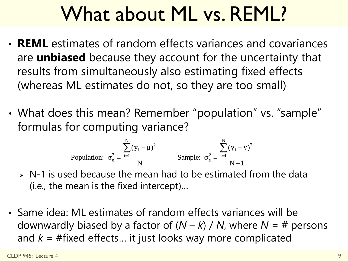### What about ML vs. REML?

- **REML** estimates of random effects variances and covariances are **unbiased** because they account for the uncertainty that results from simultaneously also estimating fixed effects (whereas ML estimates do not, so they are too small)
- What does this mean? Remember "population" vs. "sample" formulas for computing variance? is Nemerliber population v<br>
ing variance?<br>  $\sum_{i=1}^{N} (y_i - \mu)^2$  Sample:  $\sigma^2 = \frac{\sum_{i=1}^{N} (y_i - \overline{y})^2}{\sigma^2}$

or computing variance?  
Population: 
$$
\sigma_e^2 = \frac{\sum_{i=1}^{N} (y_i - \mu)^2}{N}
$$
 Sample:  $\sigma_e^2 = \frac{\sum_{i=1}^{N} (y_i - \overline{y})^2}{N-1}$ 

- $\triangleright$  N-1 is used because the mean had to be estimated from the data (i.e., the mean is the fixed intercept)…
- Same idea: ML estimates of random effects variances will be downwardly biased by a factor of  $(N - k) / N$ , where  $N = #$  persons and  $k = #fixed$  effects... it just looks way more complicated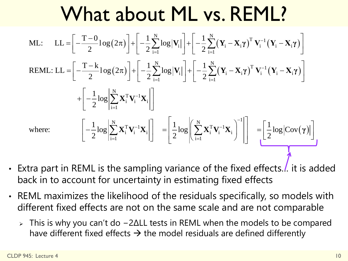#### What about ML vs. REML?  $(2\pi)|+|-\frac{1}{2}\sum \log |\mathbf{V}_{i}||+|-\frac{1}{2}\sum (\mathbf{Y}_{i}-\mathbf{X}_{i}\gamma)^{T}\mathbf{V}_{i}^{-1}(\mathbf{Y}_{i}-\mathbf{X}_{i}\gamma)$  $\left(2\pi\right)\left|+\right|-\frac{1}{2}\sum_{i}^{\infty}\log|\mathbf{V}_{i}|\right|+\left|-\frac{1}{2}\sum_{i}^{\infty}\left(\mathbf{Y}_{i}-\mathbf{X}_{i}\boldsymbol{\gamma}\right)^{T}\mathbf{V}_{i}^{-1}\left(\mathbf{Y}_{i}-\mathbf{X}_{i}\boldsymbol{\gamma}\right)\right|$ IT I<sup>V</sup>IL VS. REI<sup>V</sup><br>N<sub>logW</sub>] [ 1 N(v \_ v x)<sup>T</sup> V<sup>-1</sup>  $\mathbf{Y}_i \begin{bmatrix} \mathbf{y}_i \\ \mathbf{y}_i \end{bmatrix} + \begin{bmatrix} \frac{1}{2} \sum_{i=1}^N (\mathbf{Y}_i - \mathbf{X}_i \boldsymbol{\gamma})^T \mathbf{V}_i^{-1} (\mathbf{Y}_i - \mathbf{X}_i) \end{bmatrix}$  $\sum_{i=1}^{N} \log |\mathbf{V}_{i}| \left] + \left[ -\frac{1}{2} \sum_{i=1}^{N} \right]$  $\sum_{i=1}^{N} \log |\mathbf{V}_{i}| + \left[-\frac{1}{2}\sum_{i=1}^{N} \right]$  $\begin{aligned} \mathbf{y}_i = \begin{bmatrix} 1 & \mathbf{y}_i \\ \mathbf{y}_i & \mathbf{y}_i \end{bmatrix} + \begin{bmatrix} 1 & \mathbf{y}_i \\ -\frac{1}{2} \sum_{i=1}^N (\mathbf{Y}_i - \mathbf{X}_i \boldsymbol{\gamma})^T \mathbf{V}_i^{-1} (\mathbf{Y}_i - \mathbf{X}_i \boldsymbol{\gamma}) \end{bmatrix} \end{aligned}$  $\sum_{i=1}^{N} \log |\mathbf{V}_{i}| \left] + \left[ -\frac{1}{2} \sum_{i=1}^{N} \right]$  $\int \limits_{i}^{T} \mathbf{V}_{i}^{-1}$  $\frac{1}{i}$   $\mathbf{V}_i^{-1}$   $\mathbf{X}_i$  $\sum_{i=1}^{N}$ ML:  $LL = \left[-\frac{T-0}{2} \log(2\pi)\right] + \left[-\frac{1}{2} \sum_{i=1}^{N} \log|\mathbf{V}_i|\right] + \left[-\frac{1}{2}\right]$ **12L ADOUL I'IL**<br> $\frac{-0}{2} \log(2\pi)$  +  $\left[-\frac{1}{2} \sum_{i=1}^{N} \log |\mathbf{V}_i|\right]$  +  $\left[-\frac{1}{2}\right]$ ML: LL =  $\left[-\frac{T-0}{2} \log(2\pi)\right] + \left[-\frac{1}{2} \sum_{i=1}^{N} \log |\mathbf{V}_{i}|\right] + \left[-\frac{1}{2} \sum_{i=1}^{N} \log|\mathbf{V}_{i}|\right] + \left[-\frac{1}{2} \sum_{i=1}^{N} \log|\mathbf{V}_{i}|\right] + \left[-\frac{1}{2} \sum_{i=1}^{N} \log|\mathbf{V}_{i}|\right] + \left[-\frac{1}{2} \sum_{i=1}^{N} \log|\mathbf{V}_{i}|\right] + \left[-\frac{1}{2} \sum_{i=1}^{N}$  $\frac{1}{2} \log(2\pi)$  +  $\left[-\frac{1}{2}\sum_{i=1}^{N} \log |\mathbf{V}_{i}|\right]$  +  $\left[-\frac{1}{2}\sum_{i=1}^{N} \log |\mathbf{V}_{i}|\right]$  +  $\left[-\frac{1}{2}\sum_{i=1}^{N} \log |\mathbf{V}_{i}|\right]$  +  $\left[-\frac{1}{2}\sum_{i=1}^{N} \log |\mathbf{V}_{i}|\right]$  +  $\left[-\frac{1}{2}\sum_{i=1}^{N} \log |\mathbf{V}_{i}|\right]$ 1  $\left|-\frac{1}{2}\right| \log$ 2  $\overline{a}$  $\sum_{i=1}^{N} \log |\mathbf{V}_{i}| + \left[ -\frac{1}{2} \sum_{i=1}^{N} (\mathbf{Y}_{i} - \mathbf{X}_{i}) \right]$  $\overline{a}$  $\sum_{i=1}^{N} \log |\mathbf{V}_{i}| + \left[ -\frac{1}{2} \sum_{i=1}^{N} (\mathbf{Y}_{i} - \mathbf{X}_{i}) \right]$ - $-\frac{\text{T}-\text{k}}{2}\text{log}\left(2\pi\right)\Bigg]+\Bigg[-\ -\frac{1}{2}\text{log}\Bigg|\sum_{\text{i=1}}^{\text{N}}\textbf{X}_{\text{i}}^{\text{T}}\textbf{V}_{\text{i}}^{-1}\textbf{X}\Bigg]$ Vhat about ML vs. REML?<br> $\frac{\Gamma^{-0}(\mathbf{x}_i - \mathbf{x}_i)}{\Gamma^{-0}(\mathbf{x}_i - \mathbf{x}_i)}$   $\left[ -\frac{\Gamma^{-0}(\mathbf{x}_i - \mathbf{x}_i)}{\Gamma^{-0}(\mathbf{x}_i - \mathbf{x}_i)} \right] + \left[ -\frac{1}{2} \sum_{i=1}^{N} (\mathbf{x}_i - \mathbf{x}_i) \right]$ **Vhat about ML vs. REML?**<br>= $\left[-\frac{T-0}{2}\log(2\pi)\right]+\left[-\frac{1}{2}\sum_{i=1}^{N}\log|V_i|\right]+\left[-\frac{1}{2}\sum_{i=1}^{N}(Y_i-X_i\gamma)^T V_i^{-1}(Y_i-X_i\gamma)\right]$  $\begin{aligned} &\left[-\frac{T-0}{2}\log(2\pi)\right]+\left[-\frac{1}{2}\sum_{i=1}^{N}\log|\textbf{V}_{i}|\right]+\left[-\frac{1}{2}\sum_{i=1}^{N}\left(\textbf{Y}_{i}-\textbf{X}_{i}\boldsymbol{\gamma}\right)^{T}\textbf{V}_{i}^{-1}\left(\textbf{Y}_{i}-\textbf{X}_{i}\boldsymbol{\gamma}\right)\right] \ &\left[-\frac{T-k}{2}\log(2\pi)\right]+\left[-\frac{1}{2}\sum_{i=1}^{N}\log|\textbf{V}_{i}|\right]+\left[-\frac{1}{2}\sum_{i=1}^{N}\left(\textbf{Y}_{i}-\textbf{X}_{i$ **THE ADOUL TE VS. TVET IE:**<br>= $\left[-\frac{T-0}{2}\log(2\pi)\right]+\left[-\frac{1}{2}\sum_{i=1}^{N}\log|\mathbf{V}_{i}|\right]+\left[-\frac{1}{2}\sum_{i=1}^{N}\left(\mathbf{Y}_{i}-\mathbf{X}_{i}\gamma\right)^{T}\mathbf{V}_{i}^{-1}\left(\mathbf{Y}_{i}-\mathbf{X}_{i}\gamma\right)\right]$ <br>= $\left[-\frac{T-k}{2}\log(2\pi)\right]+\left[-\frac{1}{2}\sum_{i=1}^{N}\log|\mathbf{V}_{i}|\right]+\left[-\frac{1}{2}\sum_{i=1}$  ${\bf V}_i \Big] + \Big[ -\frac{1}{2} \sum_{i=1}^N (Y_i - X_i \gamma)^T V_i^{-1} (Y_i - X_i \gamma) \Big]$  $\begin{aligned} \left[\mathbf{V}_{\mathrm{i}}\right]\Bigg] + & \Bigg[-\frac{1}{2}\sum_{\mathrm{i=1}}^{\mathrm{N}}\big(\mathbf{Y}_{\mathrm{i}}-\mathbf{X}_{\mathrm{i}}\boldsymbol{\gamma}\big)^{\mathrm{T}}\,\mathbf{V}_{\mathrm{i}}^{-1}\big(\mathbf{Y}_{\mathrm{i}}-\mathbf{X}_{\mathrm{i}}\boldsymbol{\gamma}\big)\Bigg] \ \mathbf{V}_{\mathrm{i}}\Bigg] + & \Bigg[-\frac{1}{2}\sum_{\mathrm{i=1}}^{\mathrm{N}}\big(\mathbf{Y}_{\mathrm{i}}-\mathbf{X}_{\mathrm{i}}\boldsymbol{\gamma}\big)^{\mathrm{T}}\,\mathbf{V}_{\mathrm{i}}^{-1}\$  $(\gamma)$ N 1  $\left[\begin{array}{ccc} \sum_{i=1}^{N} \mathbf{A}_{i} & \mathbf{v}_{i} & \mathbf{A}_{i} \end{array}\right]$  $\begin{bmatrix} \mathbf{T} \ \mathbf{V}_{\mathrm{i}}^{-1} \mathbf{X}_{\mathrm{i}} \end{bmatrix}^{\top} = \begin{bmatrix} \frac{1}{2} \log \left\| \sum_{i}^{N} \mathbf{X}_{\mathrm{i}}^{T} \mathbf{V}_{\mathrm{i}}^{-1} \right\| \end{bmatrix}$  $\begin{bmatrix} \begin{bmatrix} \mathbf{I} & \mathbf{I} \end{bmatrix} \end{bmatrix} \begin{bmatrix} \mathbf{I} & \mathbf{I} \end{bmatrix} = \begin{bmatrix} \frac{1}{2} \log \left( \sum_{i=1}^{N} \mathbf{X}_{i}^{T} \mathbf{V}_{i}^{-1} \mathbf{X}_{i} \right) \end{bmatrix}$  $\sum_{i=1}^{N} \mathbf{X}_{i}^{T} \mathbf{V}_{i}^{-1} \mathbf{X}_{i} \Bigg[ \Bigg] = \Bigg[ \frac{1}{2} \log \Bigg| \Bigg( \sum_{i=1}^{N}$ where:  $\begin{aligned} \n+ \left[ -\frac{1}{2} \log \left| \sum_{i=1}^{N} \mathbf{X}_{i}^{T} \mathbf{V}_{i}^{-1} \mathbf{X}_{i} \right| \right] \n\end{aligned}$ <br>
where:  $\left[ -\frac{1}{2} \log \left| \sum_{i=1}^{N} \mathbf{X}_{i}^{T} \mathbf{V}_{i}^{-1} \mathbf{X}_{i} \right| \right] = \left[ \frac{1}{2} \log \left| \left( \sum_{i=1}^{N} \mathbf{X}_{i}^{T} \mathbf{V}_{i}^{-1} \mathbf{X}_{i} \right)^{ 2^{\text{Log}}\left|\sum_{i=1}^{N} \mathbf{X}_{i}^{T} \mathbf{V}_{i}^{-1} \mathbf{X}_{i}\right|$  =  $\left[\frac{1}{2} \log \left|\sum_{i=1}^{N} \mathbf{X}_{i}^{T} \mathbf{V}_{i}^{-1} \mathbf{X}_{i}\right|\right]$  =  $\left[\frac{1}{2} \log \left|\sum_{i=1}^{N} \mathbf{X}_{i}^{T} \mathbf{V}_{i}^{-1} \mathbf{X}_{i}\right|\right]$  =  $\left[\frac{1}{2} \log \left|\sum_{i=1}^{N} \mathbf{X}_{i}^{T} \mathbf{V}_{$  $\overline{a}$  $\begin{bmatrix} -1 \\ -1 \\ \mathbf{X}_i \end{bmatrix}$  =  $\begin{bmatrix} 1 \\ -\log \end{bmatrix} \begin{bmatrix} N \\ \sum_{i} \mathbf{X}_i^{\mathrm{T}} \mathbf{V}_i^{-1} \mathbf{X}_i \end{bmatrix}^{-1}$  $\sum_{i=1}^{N} \mathbf{X}_{i}^{T} \mathbf{V}_{i}^{-1} \mathbf{X}_{i} \Bigg| \Bigg] = \Bigg[ \frac{1}{2} \log \Bigg| \Bigg( \sum_{i=1}^{N} \mathbf{X}_{i}^{T} \mathbf{V}_{i}^{-1} \mathbf{Y}_{i} \Bigg)$  $\frac{\Gamma - k}{2} \log (2\pi) + \left[ -\frac{1}{2} \sum_{i=1}^{N} \log |\mathbf{V}_i| \right] + \left[ -\frac{1}{2} \log \left| \sum_{i=1}^{N} \mathbf{X}_i^{\mathrm{T}} \mathbf{V}_i^{-1} \mathbf{X}_i \right| \right]$  $\frac{\Gamma - k}{2} \log(2\pi) + \left[ -\frac{1}{2} \sum_{i=1}^{N} \log |\mathbf{V}_i| \right] + \left[ -\frac{1}{2} \log \left| \sum_{i=1}^{N} \mathbf{X}_i^{\mathrm{T}} \mathbf{V}_i^{-1} \mathbf{X}_i \right| \right]$  $\begin{bmatrix} -\frac{1}{2} \log \left| \sum_{i=1}^{N} \mathbf{X}_{i}^{T} \mathbf{V}_{i}^{-1} \mathbf{X}_{i} \right| \end{bmatrix}$ <br> $\begin{bmatrix} -\frac{1}{2} \log \left| \sum_{i=1}^{N} \mathbf{X}_{i}^{T} \mathbf{V}_{i}^{-1} \mathbf{X}_{i} \right| \end{bmatrix} = \begin{bmatrix} \frac{1}{2} \log \left| \sum_{i=1}^{N} \mathbf{X}_{i}^{T} \mathbf{V}_{i}^{-1} \mathbf{X}_{i} \right| \end{bmatrix}^{-1} = \begin{bmatrix} \frac{$  $\begin{bmatrix} -\frac{1}{2}\log\left|\sum_{i=1}^{N}\mathbf{X}_{i}^{T}\mathbf{V}_{i}^{-1}\mathbf{X}_{i}\right| \end{bmatrix} = \left[\frac{1}{2}\log\left|\left(\sum_{i=1}^{N}\mathbf{X}_{i}^{T}\mathbf{V}_{i}^{-1}\mathbf{X}_{i}\right)^{-1}\right|\right] = \left[\frac{1}{2}\log|Cov(\gamma)|\right]$  $\sum$  $\sum_{i=1}^{N} \mathbf{X}_{i}^{T} \mathbf{V}_{i}^{-1} \mathbf{X}_{i}$   $\sum_{i=1}^{N} \mathbf{X}_{i}^{T} \mathbf{V}_{i}^{-1} \mathbf{X}_{i}$   $\begin{bmatrix} \sum_{i=1}^{N} \mathbf{X}_{i}^{T} \mathbf{V}_{i}^{-1} \mathbf{X}_{i} \end{bmatrix}$   $= \left[ \frac{1}{2} \log \left( \sum_{i=1}^{N} \mathbf{X}_{i}^{T} \mathbf{V}_{i}^{-1} \mathbf{X}_{i} \right)^{-1} \right]$   $= \left[ \frac{1}{2}$

- Extra part in REML is the sampling variance of the fixed effects... it is added back in to account for uncertainty in estimating fixed effects
- REML maximizes the likelihood of the residuals specifically, so models with different fixed effects are not on the same scale and are not comparable
	- This is why you can't do −2ΔLL tests in REML when the models to be compared have different fixed effects  $\rightarrow$  the model residuals are defined differently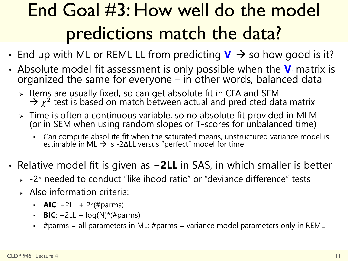### End Goal #3: How well do the model predictions match the data?

- End up with ML or REML LL from predicting  $V_i \rightarrow s$  so how good is it?
- Absolute model fit assessment is only possible when the  $V_i$  matrix is organized the same for everyone - in other words, balanced data
	- > Items are usually fixed, so can get absolute fit in CFA and SEM  $\rightarrow \chi^2$  test is based on match between actual and predicted data matrix
	- Time is often a continuous variable, so no absolute fit provided in MLM (or in SEM when using random slopes or T-scores for unbalanced time)
		- Can compute absolute fit when the saturated means, unstructured variance model is estimable in ML  $\rightarrow$  is -2ΔLL versus "perfect" model for time
- Relative model fit is given as **−2LL** in SAS, in which smaller is better
	- $> -2$ \* needed to conduct "likelihood ratio" or "deviance difference" tests
	- $\triangleright$  Also information criteria:
		- **AIC**:  $-2LL + 2*(#params)$
		- **BIC**: −2LL + log(N)\*(#parms)
		- #parms = all parameters in ML; #parms = variance model parameters only in REML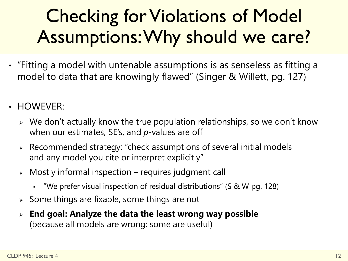### Checking for Violations of Model Assumptions: Why should we care?

- "Fitting a model with untenable assumptions is as senseless as fitting a model to data that are knowingly flawed" (Singer & Willett, pg. 127)
- HOWEVER:
	- $\triangleright$  We don't actually know the true population relationships, so we don't know when our estimates, SE's, and *p*-values are off
	- Recommended strategy: "check assumptions of several initial models and any model you cite or interpret explicitly"
	- $\triangleright$  Mostly informal inspection requires judgment call
		- "We prefer visual inspection of residual distributions" (S & W pg. 128)
	- $\geq$  Some things are fixable, some things are not
	- **End goal: Analyze the data the least wrong way possible** (because all models are wrong; some are useful)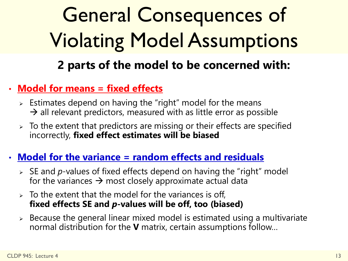### General Consequences of Violating Model Assumptions **2 parts of the model to be concerned with:**

#### • **Model for means = fixed effects**

- $\triangleright$  Estimates depend on having the "right" model for the means  $\rightarrow$  all relevant predictors, measured with as little error as possible
- $\geq$  To the extent that predictors are missing or their effects are specified incorrectly, **fixed effect estimates will be biased**

#### • **Model for the variance = random effects and residuals**

- SE and *p*-values of fixed effects depend on having the "right" model for the variances  $\rightarrow$  most closely approximate actual data
- $\geq$  To the extent that the model for the variances is off, **fixed effects SE and** *p***-values will be off, too (biased)**
- $\geq$  Because the general linear mixed model is estimated using a multivariate normal distribution for the **V** matrix, certain assumptions follow…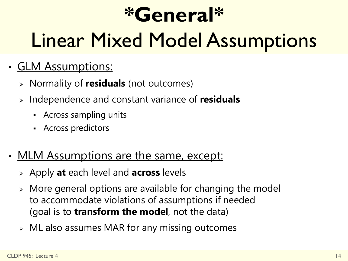### **\*General\***

### Linear Mixed Model Assumptions

- GLM Assumptions:
	- Normality of **residuals** (not outcomes)
	- Independence and constant variance of **residuals**
		- Across sampling units
		- **Across predictors**
- MLM Assumptions are the same, except:
	- Apply **at** each level and **across** levels
	- More general options are available for changing the model to accommodate violations of assumptions if needed (goal is to **transform the model**, not the data)
	- ML also assumes MAR for any missing outcomes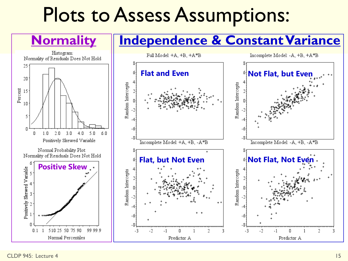### Plots to Assess Assumptions:

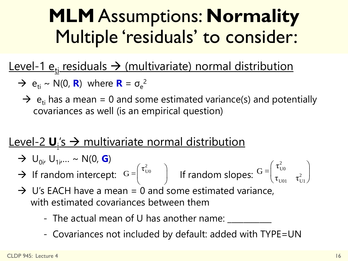### **MLM** Assumptions: **Normality** Multiple 'residuals' to consider:

#### Level-1  $e_{ti}$  residuals  $\rightarrow$  (multivariate) normal distribution

- $\rightarrow e_{ti} \sim N(0, R)$  where  $R = \sigma_e^2$ 
	- $\rightarrow$  e<sub>ti</sub> has a mean = 0 and some estimated variance(s) and potentially covariances as well (is an empirical question)

### <u>Level-2 U<sub>i</sub>'s → multivariate normal distribution</u>

- $\rightarrow$  U<sub>0i</sub>, U<sub>1i</sub>,... ~ N(0, **G**)
- $\rightarrow$  If random intercept:  $G = \begin{vmatrix} 1 & 1 \end{vmatrix}$  if random slopes: U0  $U01$   $U1$ τ  $G =$  $\left(\tau_{\text{\tiny{U0}}}^2\right)$  If random slopes:  $\text{G=}\begin{pmatrix} \tau_{\text{\tiny{U0}}}^2 & \tau_{\text{\tiny{U1}}}^2 \ \tau_{\text{\tiny{U01}}} & \tau_{\text{\tiny{U1}}}^2 \end{pmatrix}$  $G =$  $\begin{pmatrix} \tau_{\text{\tiny U0}}^2 \end{pmatrix}$
- $\rightarrow$  U's EACH have a mean = 0 and some estimated variance, with estimated covariances between them andom intercept:  $G = \begin{pmatrix} \tau_{U0}^2 \\ \tau_{U0} \end{pmatrix}$  If random slopes:  $G = \begin{pmatrix} \tau_{U0}^2 \\ \tau_{U01} \end{pmatrix}$ <br>
EACH have a mean = 0 and some estimated variance,<br>
h estimated covariances between them<br>
- The actual mean of U has anot
	- The actual mean of U has another name: \_\_\_\_\_\_\_\_\_
	-

2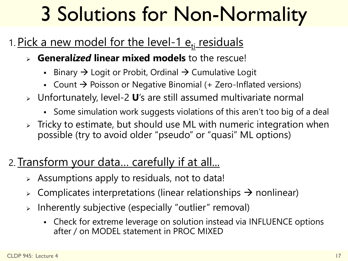### 3 Solutions for Non-Normality

### 1. Pick a new model for the level-1  $e_{ti}$  residuals

- **General***ized* **linear mixed models** to the rescue!
	- Binary  $\rightarrow$  Logit or Probit, Ordinal  $\rightarrow$  Cumulative Logit
	- Count  $\rightarrow$  Poisson or Negative Binomial (+ Zero-Inflated versions)
- Unfortunately, level-2 **U**'s are still assumed multivariate normal
	- Some simulation work suggests violations of this aren't too big of a deal
- $\triangleright$  Tricky to estimate, but should use ML with numeric integration when possible (try to avoid older "pseudo" or "quasi" ML options)

### 2. Transform your data... carefully if at all...

- Assumptions apply to residuals, not to data!
- $\triangleright$  Complicates interpretations (linear relationships  $\rightarrow$  nonlinear)
- $\triangleright$  Inherently subjective (especially "outlier" removal)
	- Check for extreme leverage on solution instead via INFLUENCE options after / on MODEL statement in PROC MIXED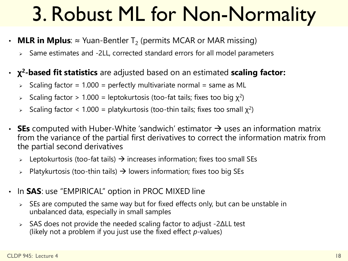### 3. Robust ML for Non-Normality

- $\cdot$  MLR in Mplus:  $\approx$  Yuan-Bentler T<sub>2</sub> (permits MCAR or MAR missing)
	- Same estimates and -2LL, corrected standard errors for all model parameters
- **χ <sup>2</sup>-based fit statistics** are adjusted based on an estimated **scaling factor:** 
	- $\ge$  Scaling factor = 1.000 = perfectly multivariate normal = same as ML
	- Scaling factor > 1.000 = leptokurtosis (too-fat tails; fixes too big  $\chi^2$ )
	- Scaling factor < 1.000 = platykurtosis (too-thin tails; fixes too small  $\chi^2$ )
- **SEs** computed with Huber-White 'sandwich' estimator  $\rightarrow$  uses an information matrix from the variance of the partial first derivatives to correct the information matrix from the partial second derivatives
	- Leptokurtosis (too-fat tails)  $\rightarrow$  increases information; fixes too small SEs
	- $\triangleright$  Platykurtosis (too-thin tails)  $\rightarrow$  lowers information; fixes too big SEs
- In **SAS**: use "EMPIRICAL" option in PROC MIXED line
	- $\triangleright$  SEs are computed the same way but for fixed effects only, but can be unstable in unbalanced data, especially in small samples
	- $\triangleright$  SAS does not provide the needed scaling factor to adjust -2ΔLL test (likely not a problem if you just use the fixed effect *p*-values)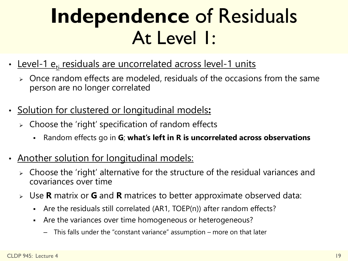### **Independence** of Residuals At Level 1:

- Level-1 e<sub>ti</sub> residuals are uncorrelated across level-1 units
	- $\triangleright$  Once random effects are modeled, residuals of the occasions from the same person are no longer correlated
- Solution for clustered or longitudinal models**:**
	- $\triangleright$  Choose the 'right' specification of random effects
		- Random effects go in **G**; **what's left in R is uncorrelated across observations**
- Another solution for longitudinal models:
	- Choose the 'right' alternative for the structure of the residual variances and covariances over time
	- Use **R** matrix or **G** and **R** matrices to better approximate observed data:
		- Are the residuals still correlated (AR1, TOEP(n)) after random effects?
		- Are the variances over time homogeneous or heterogeneous?
			- This falls under the "constant variance" assumption more on that later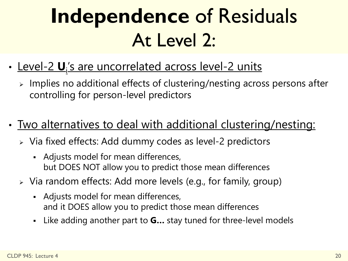### **Independence** of Residuals At Level 2:

- <u>Level-2 **U**<sub>i</sub>'s are uncorrelated across level-2 units</u>
	- Implies no additional effects of clustering/nesting across persons after controlling for person-level predictors
- Two alternatives to deal with additional clustering/nesting:
	- Via fixed effects: Add dummy codes as level-2 predictors
		- Adjusts model for mean differences, but DOES NOT allow you to predict those mean differences
	- Via random effects: Add more levels (e.g., for family, group)
		- Adjusts model for mean differences, and it DOES allow you to predict those mean differences
		- Like adding another part to **G…** stay tuned for three-level models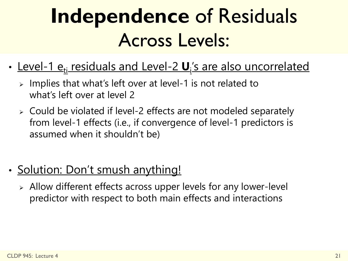### **Independence** of Residuals Across Levels:

- <u>Level-1 e<sub>ti</sub> residuals and Level-2 **U**<sub>i</sub>'s are also uncorrelated</u>
	- $\ge$  Implies that what's left over at level-1 is not related to what's left over at level 2
	- Could be violated if level-2 effects are not modeled separately from level-1 effects (i.e., if convergence of level-1 predictors is assumed when it shouldn't be)
- Solution: Don't smush anything!
	- Allow different effects across upper levels for any lower-level predictor with respect to both main effects and interactions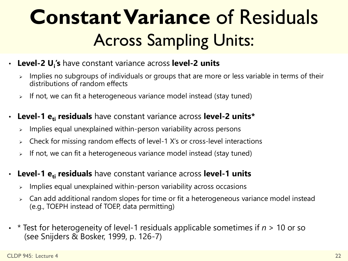### **Constant Variance** of Residuals Across Sampling Units:

- **Level-2 U<sup>i</sup> 's** have constant variance across **level-2 units**
	- Implies no subgroups of individuals or groups that are more or less variable in terms of their distributions of random effects
	- $\triangleright$  If not, we can fit a heterogeneous variance model instead (stay tuned)
- **Level-1 eti residuals** have constant variance across **level-2 units\***
	- $\triangleright$  Implies equal unexplained within-person variability across persons
	- $\geq$  Check for missing random effects of level-1 X's or cross-level interactions
	- $\rightarrow$  If not, we can fit a heterogeneous variance model instead (stay tuned)
- **Level-1 eti residuals** have constant variance across **level-1 units**
	- $\ge$  Implies equal unexplained within-person variability across occasions
	- Can add additional random slopes for time or fit a heterogeneous variance model instead (e.g., TOEPH instead of TOEP, data permitting)
- \* Test for heterogeneity of level-1 residuals applicable sometimes if *n* > 10 or so (see Snijders & Bosker, 1999, p. 126-7)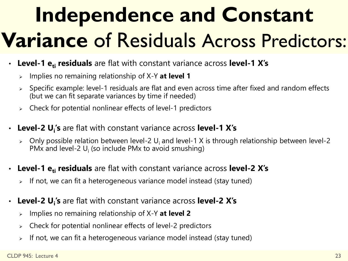# **Independence and Constant Variance** of Residuals Across Predictors:

- **Level-1 eti residuals** are flat with constant variance across **level-1 X's**
	- Implies no remaining relationship of X-Y **at level 1**
	- $\geq$  Specific example: level-1 residuals are flat and even across time after fixed and random effects (but we can fit separate variances by time if needed)
	- $\geq$  Check for potential nonlinear effects of level-1 predictors
- **Level-2 U<sup>i</sup> 's** are flat with constant variance across **level-1 X's**
	- $\triangleright$  Only possible relation between level-2 U<sub>i</sub> and level-1 X is through relationship between level-2 PMx and level-2  $U_i$  (so include PMx to avoid smushing)
- **Level-1 eti residuals** are flat with constant variance across **level-2 X's**
	- If not, we can fit a heterogeneous variance model instead (stay tuned)
- **Level-2 U<sup>i</sup> 's** are flat with constant variance across **level-2 X's**
	- Implies no remaining relationship of X-Y **at level 2**
	- $\geq$  Check for potential nonlinear effects of level-2 predictors
	- $\triangleright$  If not, we can fit a heterogeneous variance model instead (stay tuned)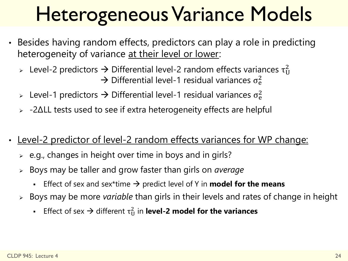### Heterogeneous Variance Models

- Besides having random effects, predictors can play a role in predicting heterogeneity of variance at their level or lower:
	- > Level-2 predictors  $\rightarrow$  Differential level-2 random effects variances  $\tau^2_U$  $\rightarrow$  Differential level-1 residual variances  $\sigma_{\rm e}^2$
	- > Level-1 predictors  $\rightarrow$  Differential level-1 residual variances  $\sigma_{\rm e}^2$
	- $\rightarrow$  -2ΔLL tests used to see if extra heterogeneity effects are helpful
- Level-2 predictor of level-2 random effects variances for WP change:
	- $\geq$  e.g., changes in height over time in boys and in girls?
	- Boys may be taller and grow faster than girls on *average*
		- **Effect of sex and sex\*time**  $\rightarrow$  **predict level of Y in <b>model for the means**
	- Boys may be more *variable* than girls in their levels and rates of change in height
		- **Effect of sex**  $\rightarrow$  **different**  $\tau_U^2$  **in level-2 model for the variances**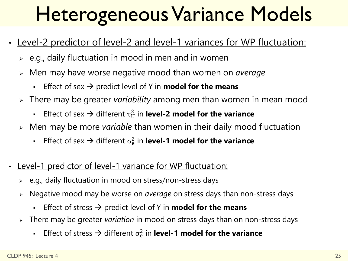### Heterogeneous Variance Models

- Level-2 predictor of level-2 and level-1 variances for WP fluctuation:
	- $\ge$  e.g., daily fluctuation in mood in men and in women
	- Men may have worse negative mood than women on *average*
		- **Effect of sex**  $\rightarrow$  **predict level of Y in model for the means**
	- There may be greater *variability* among men than women in mean mood
		- **Effect of sex**  $\rightarrow$  **different**  $\tau_U^2$  **in level-2 model for the variance**
	- Men may be more *variable* than women in their daily mood fluctuation
		- **Effect of sex**  $\rightarrow$  **different**  $\sigma_e^2$  **in level-1 model for the variance**
- Level-1 predictor of level-1 variance for WP fluctuation:
	- $\geq$  e.g., daily fluctuation in mood on stress/non-stress days
	- Negative mood may be worse on *average* on stress days than non-stress days
		- Effect of stress  $\rightarrow$  predict level of Y in **model for the means**
	- There may be greater *variation* in mood on stress days than on non-stress days
		- **Effect of stress**  $\rightarrow$  **different**  $\sigma_e^2$  **in level-1 model for the variance**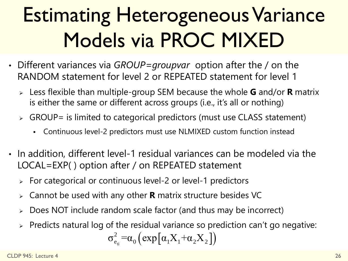# Estimating Heterogeneous Variance Models via PROC MIXED

- Different variances via *GROUP=groupvar* option after the / on the RANDOM statement for level 2 or REPEATED statement for level 1
	- Less flexible than multiple-group SEM because the whole **G** and/or **R** matrix is either the same or different across groups (i.e., it's all or nothing)
	- $\triangleright$  GROUP= is limited to categorical predictors (must use CLASS statement)
		- Continuous level-2 predictors must use NLMIXED custom function instead
- In addition, different level-1 residual variances can be modeled via the LOCAL=EXP( ) option after / on REPEATED statement
	- $\ge$  For categorical or continuous level-2 or level-1 predictors
	- Cannot be used with any other **R** matrix structure besides VC
	- Does NOT include random scale factor (and thus may be incorrect)
	- $\triangleright$  Predicts natural log of the residual variance so prediction can't go negative:

$$
\sigma_{e_{ti}}^2 = \alpha_0 \left( \exp\left[\alpha_1 X_1 + \alpha_2 X_2 \right] \right)
$$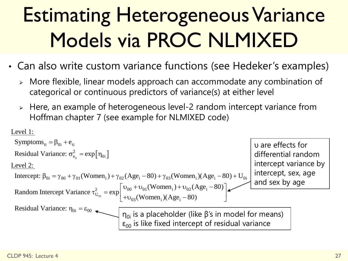# Estimating Heterogeneous Variance Models via PROC NLMIXED

- Can also write custom variance functions (see Hedeker's examples)
	- More flexible, linear models approach can accommodate any combination of categorical or continuous predictors of variance(s) at either level
	- Here, an example of heterogeneous level-2 random intercept variance from

```
Hoffman chapter 7 (see example for NLMIXED code)<br>
Level 1:<br>
Symptoms<sub>ti</sub> = \beta_{0i} + e_{ti}t_{\text{t}} = \exp[\eta_{0i}]0 i
   Symptoms<sub>ti</sub> = \beta_{0i} + e_{ti}2
                                                           e_{e_{ii}}^2 = \exp[\eta_{0i}]Residual Variance: \sigma_{e_{ii}}^2 = \exp[\eta_{0i}]<br>
Level 2:<br>
Intercept: \beta_{0i} = \gamma_{00} + \gamma_{01}(\text{Women}_i) + \gamma_{02}(\text{Age}_i - 80) + \gamma_{03}(\text{Women}_i)(\text{Age}_i - 80) + U_{0i} intercept: \beta_{0i} = \gamma_{00} + \gamma_{01}(\text{Women}_i) + \gamma_{02}(\text{Age}_i - 80) + \gamma_{03}(\text{Women}_i)(\text{Age}_Level 2:<br>
Intercept: \beta_{0i} = \gamma_{00} + \gamma_{01} (Women_i) + \gamma_{02} (Age_i - 80) + \gamma_{03} (Women_i) (Age_i -<br>
Random Intercept Variance \tau_{U_{0i}}^2 = exp \begin{bmatrix} U_{00} + U_{01} (Women_i) + U_{02} (Age_i - 80) \end{bmatrix}Level 1: 
Residual Variance: \sigma_{\rm e}^2 = exp
Level 2: 
                                                       e_{\rm ti}<br>
\sigma_{\rm e_{\rm ti}}^2 = \exp[\eta_{\rm 0i}]omen<sub>i</sub>) + \gamma_{02} (Age<sub>i</sub> -<br>
\tau_{U_{0i}}^2 = \exp\begin{bmatrix} v_{00} + v_0 \\ +v_{03} \end{bmatrix}i
                                                                                                                   v_0<sub>1</sub> (Women<sub>i</sub>) +<br><sub>03</sub> (Women<sub>i</sub>) (Age<sub>i</sub>
                                                           mance<br>_{0i} = \varepsilon_{00}Age<sub>i</sub> – 8<br>e<sub>i</sub> – 80)
                                                                                                                        (e_i - 80) + \gamma_{03} (Women<sub>i</sub>)<br>- v_{01} (Women<sub>i</sub>) + v_{02} (Age<sub>i</sub> – 80)
 Residual Variance: 
                                                                                                        \gamma_2(Age_i - 80) + \gamma_{03}(Women_i)(Age_i - 80) + U_{0i} int<br>
\begin{bmatrix} v_{00} + v_{01}(Women_i) + v_{02}(Age_i - 80) \end{bmatrix}\left[\begin{array}{l}\n\mathbf{v}_{02}(Age_i - 80) + \gamma_{03}(Women_i)(Age_i - 80) + \mathbf{U}_{0i}\n\end{array}\right] interval interval interval interval interval interval interval interval interval interval interval interval interval interval interval interval interval inte
                                                       Variance \tau_{U_{0i}}^2 = \exp \left[\frac{\pi}{2}\right]<br>
\eta_{0i} = \varepsilon_{00}υ are effects for 
                                                                                                                                                                                                                                       differential random 
                                                                                                                                                                                                                                       intercept variance by 
                                                                                                                                                                                                                                       intercept, sex, age 
                                                                                                                                                                                                                                       and sex by age
                                                                                                         η<sub>0i</sub> is a placeholder (like β's in model for means)
                                                                                                          \varepsilon_{00} is like fixed intercept of residual variance
```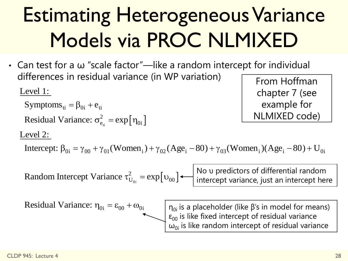### Estimating Heterogeneous Variance Models via PROC NLMIXED

• Can test for a ω "scale factor"—like a random intercept for individual differences in residual variance (in WP variation) Larriest for a weight scale factor<br>differences in residual varian<br>Level 1:<br>Symptoms<sub>ti</sub> =  $\beta_{0i}$  +  $e_{ti}$ 

Level 1:

Symptoms<sub>ti</sub> =  $\beta_{0i}$  +  $e_{ti}$ 

 $t_{\rm t}$  =  $\exp[\eta_{0i}]$ 2 i<br> $e_{\textrm{\tiny th}}^2 = \exp\left[\eta_{0\textrm{i}}\right]$ Residual Variance:  $\sigma_{\rm e}^2$  = exp  $e_{ti}$ <br>  $\sigma_{e_{ti}}^2 = \exp[\eta_{0i}]$ 

From Hoffman chapter 7 (see example for NLMIXED code)

#### Level 2:

Residual Variance:  $\sigma_{e_{ii}}^2 = \exp[\eta_{0i}]$ <br>
Level 2:<br>
Intercept:  $\beta_{0i} = \gamma_{00} + \gamma_{01}(\text{Women}_i) + \gamma_{02}(\text{Age}_i - 80) + \gamma_{03}(\text{Women}_i)(\text{Age}_i - 80) + U_{0i}$  $\text{pmen}_i$ ) +  $\gamma_{02}$ (Age<sub>i</sub> – 80) +<br> $\tau_{U_{0i}}^2 = \exp[v_{00}]$  +  $\boxed{\frac{\text{No } \nu}{\text{inter}}$ 

 $v_{\text{U}_{\text{O}}}^2 = \exp[v_{00}]$  $0$ i  $\int_{U_{0i}}^{2}$  = exp[ $v_{00}$ Random Intercept Variance  $\tau_{\text{H}_{\text{max}}}^2 = \exp(-\tau_{\text{H}_{\text{max}}})$ cept Variance  $\tau_{U_{0i}}^2 = \exp[v_{00}]$  +<br>ance:  $\eta_{0i} = \varepsilon_{00} + \omega_{0i}$   $\sqrt{\frac{\eta_{0i}}{\epsilon}}$  is

No υ predictors of differential random intercept variance, just an intercept here

Residual Variance:  $\eta_{0i} = \varepsilon_{00} + \omega_{0i}$ 

 $η<sub>0i</sub>$  is a placeholder (like β's in model for means)  $\epsilon_{00}$  is like fixed intercept of residual variance  $\omega_{0i}$  is like random intercept of residual variance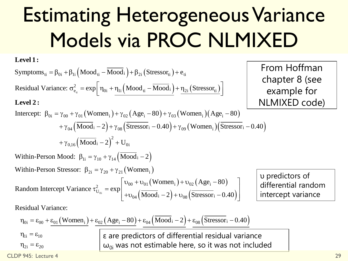# Estimating Heterogeneous Variance Models via PROC NLMIXED

ε are predictors of differential residual variance

 $\omega_{0i}$  was not estimable here, so it was not included

**Level 1:**

Level 1:

\n
$$
\text{Symbol 2:} \quad \text{Symptoms}_{ti} = \beta_{0i} + \beta_{1i} \left( \text{Mod}_{ti} - \overline{\text{Mod}}_{i} \right) + \beta_{2i} \left( \text{Stressor}_{ti} \right) + e_{ti}
$$
\n
$$
\text{Residual Variance: } \sigma_{e_{ti}}^{2} = \exp \left[ \eta_{0i} + \eta_{1i} \left( \text{Mod}_{ti} - \overline{\text{Mod}}_{i} \right) + \frac{\eta_{2i} \left( \text{Stressor}_{ti} \right)}{\eta_{2i} \left( \text{Stressor}_{ti} \right)} \right]
$$

From Hoffman chapter 8 (see example for NLMIXED code)

### **Level 2 :**<br>Intercent:

Residual Variance: 
$$
\sigma_{e_{ii}}^2 = \exp \left[\eta_{0i} + \frac{\eta_{1i} (Mood_{ti} - \overline{Mood}_{i})}{\eta_{2i} (Stressor_{ti})}\right]
$$
  
\nLevel 2:  
\nIntercept:  $\beta_{0i} = \gamma_{00} + \gamma_{01} (Women_{i}) + \gamma_{02} (Age_{i} - 80) + \gamma_{03} (Women_{i}) (Age_{i} - 80)$   
\n $+ \gamma_{04} (\overline{Mood}_{i} - 2) + \gamma_{08} (\overline{Stressor}_{i} - 0.40) + \gamma_{09} (Women_{i}) (\overline{Stressor}_{i} - 0.40)$   
\n $+ \gamma_{0,16} (\overline{Mood}_{i} - 2)^2 + U_{0i}$   
\nWithin-Person Mood:  $\beta_{1i} = \gamma_{10} + \gamma_{14} (\overline{Mood}_{i} - 2)$ 

 $(Mood_i-2)$  $Mod_i - 2)^2 + U_{0i}$ <br>  $i_1 = \gamma_{10} + \gamma_{14} (\overline{Mod_i})$ =  $\gamma_{10} + \gamma_{14} (\overline{\text{Mod}_1} - 2)$ <br>
<sub>2i</sub> =  $\gamma_{20} + \gamma_{21} (\text{Women}_1)$  $\overline{Iood}_i - 2)^2 + U_{0i}$ <br>  $i = \gamma_{10} + \gamma_{14} (\overline{Mood}_i - 2)$ <br>  $\beta_{2i} = \gamma_{20} + \gamma_{21} (\text{Women}_i)$ 

Within-Person Model: 
$$
\beta_{1i} = \gamma_{10} + \gamma_{14} (\overline{Mood}_i - 2)
$$
  
\nWithin-Person Stressor:  $\beta_{2i} = \gamma_{20} + \gamma_{21} (Women_i)$   
\nRandom Intercept Variance  $\tau_{U_{0i}}^2 = \exp \left[ \frac{v_{00} + v_{01} (Women_i) + v_{02} (Age_i - 80)}{+ v_{04} (\overline{Mood}_i - 2) + v_{08} (\overline{Stressor}_i - 0.40)} \right]$   
\nResidual Variance:  
\n $\eta_{0i} = \epsilon_{00} + \frac{\epsilon_{01} (Women_i) + \epsilon_{02} (Age_i - 80) + \epsilon_{04} (\overline{Mood}_i - 2) + \epsilon_{08} (\overline{Stressor}_i - 0.40)}{\sqrt{1 - \frac{\epsilon_{02} (Age_i - 80)}{\sqrt{1 - \frac{\epsilon_{03} (Swi_0 - 2)}{\sqrt{1 - \frac{\epsilon_{04} (Swi_0 - 2)}{\sqrt{1 - \frac{\epsilon_{08} (Swi_0 - 2)}{\sqrt{1 - \frac{\epsilon_{08} (Swi_0 - 2)}{\sqrt{1 - \frac{\epsilon_{08} (Swi_0 - 2)}{\sqrt{1 - \frac{\epsilon_{08} (Swi_0 - 2)}{\sqrt{1 - \frac{\epsilon_{08} (Swi_0 - 2)}{\sqrt{1 - \frac{\epsilon_{08} (Swi_0 - 2)}{\sqrt{1 - \frac{\epsilon_{08} (Swi_0 - 2)}{\sqrt{1 - \frac{\epsilon_{08} (Swi_0 - 2)}{\sqrt{1 - \frac{\epsilon_{08} (Swi_0 - 2)}{\sqrt{1 - \frac{\epsilon_{08} (Swi_0 - 2)}{\sqrt{1 - \frac{\epsilon_{08} (Swi_0 - 2)}{\sqrt{1 - \frac{\epsilon_{08} (Swi_0 - 2)}{\sqrt{1 - \frac{\epsilon_{08} (Swi_0 - 2)}{\sqrt{1 - \frac{\epsilon_{08} (Swi_0 - 2)}{\sqrt{1 - \frac{\epsilon_{08} (Swi_0 - 2)}{\sqrt{1 - \frac{\epsilon_{08} (Swi_0 - 2)}{\sqrt{1 - \frac{\epsilon_{08} (Swi_0 - 2)}{\sqrt{1 - \frac{\epsilon_{08} (Swi_0 - 2)}{\sqrt{1 - \frac{\epsilon_{08} (Swi_0 - 2)}{\$ 

υ predictors of differential random intercept variance

Residual Variance:  
\n
$$
\eta_{0i} = \epsilon_{00} + \underline{\epsilon_{01}}(Women_{i}) + \underline{\epsilon_{02}}(Age_{i} - 80) + \underline{\epsilon_{04}}(Mod_{i} - 2) + \underline{\epsilon_{08}}(Stressor_{i} - 0.40)
$$
\n
$$
\eta_{1i} = \epsilon_{10}
$$
\n
$$
\epsilon_{2i} = \epsilon_{20}
$$
\n
$$
\omega_{0i} \text{ was not estimate here, so it was not in}
$$

 $\eta_{1i} = \varepsilon_{10}$ 

 $\eta_{2i} = \epsilon_{20}$ 

CLDP 945: Lecture 4 29